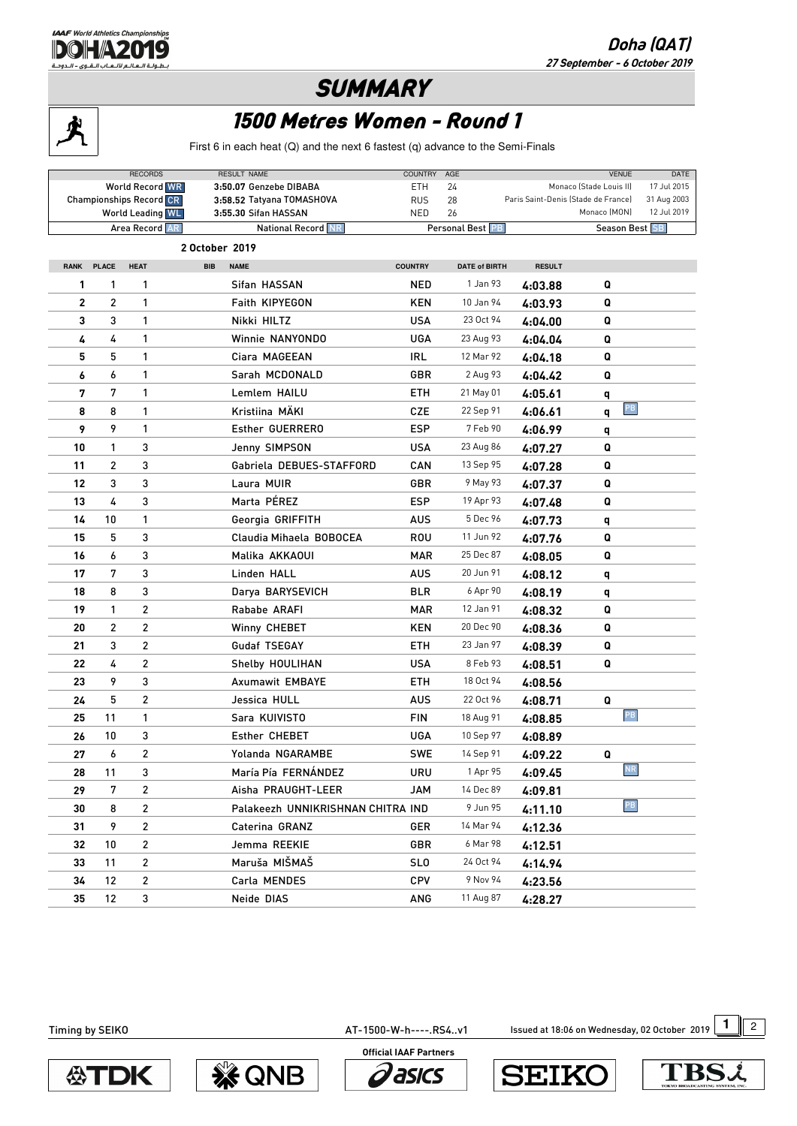

## **SUMMARY**



LAAF World Athletics Cha **DOHA2019** طولة العالم لألعاب القوى - الدوحة

## 1500 Metres Women - Round 1

First 6 in each heat (Q) and the next 6 fastest (q) advance to the Semi-Finals

|                |                | <b>RECORDS</b><br><b>World Record WR</b><br><b>Championships Record CR</b><br><b>World Leading WL</b> | RESULT NAME<br>3:50.07 Genzebe DIBABA<br>3:58.52 Tatyana TOMASHOVA<br>3:55.30 Sifan HASSAN | <b>COUNTRY</b><br>ETH<br><b>RUS</b><br>NED | AGE<br>24<br>28<br>26 | Paris Saint-Denis (Stade de France) | <b>VENUE</b><br>Monaco (Stade Louis II)<br>Monaco (MON) | DATE<br>17 Jul 2015<br>31 Aug 2003<br>12 Jul 2019 |  |  |  |  |
|----------------|----------------|-------------------------------------------------------------------------------------------------------|--------------------------------------------------------------------------------------------|--------------------------------------------|-----------------------|-------------------------------------|---------------------------------------------------------|---------------------------------------------------|--|--|--|--|
|                |                | Area Record AR                                                                                        | <b>National Record NR</b>                                                                  |                                            | Personal Best PB      |                                     | Season Best SB                                          |                                                   |  |  |  |  |
| 2 October 2019 |                |                                                                                                       |                                                                                            |                                            |                       |                                     |                                                         |                                                   |  |  |  |  |
| <b>RANK</b>    | <b>PLACE</b>   | <b>HEAT</b>                                                                                           | <b>NAME</b><br><b>BIB</b>                                                                  | <b>COUNTRY</b>                             | <b>DATE of BIRTH</b>  | <b>RESULT</b>                       |                                                         |                                                   |  |  |  |  |
| 1              | 1              | 1                                                                                                     | Sifan HASSAN                                                                               | <b>NED</b>                                 | 1 Jan 93              | 4:03.88                             | Q                                                       |                                                   |  |  |  |  |
| 2              | $\overline{c}$ | 1                                                                                                     | Faith KIPYEGON                                                                             | KEN                                        | 10 Jan 94             | 4:03.93                             | Q                                                       |                                                   |  |  |  |  |
| 3              | 3              | 1                                                                                                     | Nikki HILTZ                                                                                | <b>USA</b>                                 | 23 Oct 94             | 4:04.00                             | Q                                                       |                                                   |  |  |  |  |
| 4              | 4              | 1                                                                                                     | Winnie NANYONDO                                                                            | <b>UGA</b>                                 | 23 Aug 93             | 4:04.04                             | Q                                                       |                                                   |  |  |  |  |
| 5              | 5              | 1                                                                                                     | Ciara MAGEEAN                                                                              | <b>IRL</b>                                 | 12 Mar 92             | 4:04.18                             | Q                                                       |                                                   |  |  |  |  |
| 6              | 6              | 1                                                                                                     | Sarah MCDONALD                                                                             | GBR                                        | 2 Aug 93              | 4:04.42                             | Q                                                       |                                                   |  |  |  |  |
| 7              | 7              | 1                                                                                                     | Lemlem HAILU                                                                               | ETH                                        | 21 May 01             | 4:05.61                             | q                                                       |                                                   |  |  |  |  |
| 8              | 8              | 1                                                                                                     | Kristiina MÄKI                                                                             | CZE                                        | 22 Sep 91             | 4:06.61                             | PB<br>q                                                 |                                                   |  |  |  |  |
| 9              | 9              | 1                                                                                                     | Esther GUERRERO                                                                            | ESP                                        | 7 Feb 90              | 4:06.99                             | q                                                       |                                                   |  |  |  |  |
| 10             | 1              | 3                                                                                                     | Jenny SIMPSON                                                                              | <b>USA</b>                                 | 23 Aug 86             | 4:07.27                             | Q                                                       |                                                   |  |  |  |  |
| 11             | 2              | 3                                                                                                     | Gabriela DEBUES-STAFFORD                                                                   | CAN                                        | 13 Sep 95             | 4:07.28                             | Q                                                       |                                                   |  |  |  |  |
| 12             | 3              | 3                                                                                                     | Laura MUIR                                                                                 | GBR                                        | 9 May 93              | 4:07.37                             | Q                                                       |                                                   |  |  |  |  |
| 13             | 4              | 3                                                                                                     | Marta PÉREZ                                                                                | <b>ESP</b>                                 | 19 Apr 93             | 4:07.48                             | Q                                                       |                                                   |  |  |  |  |
| 14             | 10             | 1                                                                                                     | Georgia GRIFFITH                                                                           | <b>AUS</b>                                 | 5 Dec 96              | 4:07.73                             | q                                                       |                                                   |  |  |  |  |
| 15             | 5              | 3                                                                                                     | Claudia Mihaela BOBOCEA                                                                    | ROU                                        | 11 Jun 92             | 4:07.76                             | Q                                                       |                                                   |  |  |  |  |
| 16             | 6              | 3                                                                                                     | Malika AKKAOUI                                                                             | <b>MAR</b>                                 | 25 Dec 87             | 4:08.05                             | Q                                                       |                                                   |  |  |  |  |
| 17             | 7              | 3                                                                                                     | Linden HALL                                                                                | AUS                                        | 20 Jun 91             | 4:08.12                             | q                                                       |                                                   |  |  |  |  |
| 18             | 8              | 3                                                                                                     | Darya BARYSEVICH                                                                           | BLR                                        | 6 Apr 90              | 4:08.19                             | q                                                       |                                                   |  |  |  |  |
| 19             | 1              | 2                                                                                                     | Rababe ARAFI                                                                               | MAR                                        | 12 Jan 91             | 4:08.32                             | Q                                                       |                                                   |  |  |  |  |
| 20             | 2              | 2                                                                                                     | Winny CHEBET                                                                               | <b>KEN</b>                                 | 20 Dec 90             | 4:08.36                             | Q                                                       |                                                   |  |  |  |  |
| 21             | 3              | 2                                                                                                     | Gudaf TSEGAY                                                                               | ETH                                        | 23 Jan 97             | 4:08.39                             | Q                                                       |                                                   |  |  |  |  |
| 22             | 4              | 2                                                                                                     | Shelby HOULIHAN                                                                            | USA                                        | 8 Feb 93              | 4:08.51                             | Q                                                       |                                                   |  |  |  |  |
| 23             | 9              | 3                                                                                                     | <b>Axumawit EMBAYE</b>                                                                     | ETH                                        | 18 Oct 94             | 4:08.56                             |                                                         |                                                   |  |  |  |  |
| 24             | 5              | $\overline{c}$                                                                                        | Jessica HULL                                                                               | <b>AUS</b>                                 | 22 Oct 96             | 4:08.71                             | Q                                                       |                                                   |  |  |  |  |
| 25             | 11             | 1                                                                                                     | Sara KUIVISTO                                                                              | FIN                                        | 18 Aug 91             | 4:08.85                             | PB                                                      |                                                   |  |  |  |  |
| 26             | 10             | 3                                                                                                     | Esther CHEBET                                                                              | <b>UGA</b>                                 | 10 Sep 97             | 4:08.89                             |                                                         |                                                   |  |  |  |  |
| 27             | 6              | 2                                                                                                     | Yolanda NGARAMBE                                                                           | <b>SWE</b>                                 | 14 Sep 91             | 4:09.22                             | Q                                                       |                                                   |  |  |  |  |
| 28             | 11             | 3                                                                                                     | María Pía FERNÁNDEZ                                                                        | URU                                        | 1 Apr 95              | 4:09.45                             | $\overline{\text{NR}}$                                  |                                                   |  |  |  |  |
| 29             | 7              | 2                                                                                                     | Aisha PRAUGHT-LEER                                                                         | JAM                                        | 14 Dec 89             | 4:09.81                             |                                                         |                                                   |  |  |  |  |
| 30             | 8              | 2                                                                                                     | Palakeezh UNNIKRISHNAN CHITRA IND                                                          |                                            | 9 Jun 95              | 4:11.10                             | PB                                                      |                                                   |  |  |  |  |
| 31             | 9              | 2                                                                                                     | Caterina GRANZ                                                                             | GER                                        | 14 Mar 94             | 4:12.36                             |                                                         |                                                   |  |  |  |  |
| 32             | 10             | 2                                                                                                     | Jemma REEKIE                                                                               | GBR                                        | 6 Mar 98              | 4:12.51                             |                                                         |                                                   |  |  |  |  |
| 33             | 11             | 2                                                                                                     | Maruša MIŠMAŠ                                                                              | <b>SLO</b>                                 | 24 Oct 94             | 4:14.94                             |                                                         |                                                   |  |  |  |  |
| 34             | 12             | 2                                                                                                     | Carla MENDES                                                                               | <b>CPV</b>                                 | 9 Nov 94              | 4:23.56                             |                                                         |                                                   |  |  |  |  |
| 35             | 12             | 3                                                                                                     | Neide DIAS                                                                                 | ANG                                        | 11 Aug 87             | 4:28.27                             |                                                         |                                                   |  |  |  |  |

AT-1500-W-h----.RS4..v1 **1** Issued at 18:06 on Wednesday, 02 October 2019 1 2